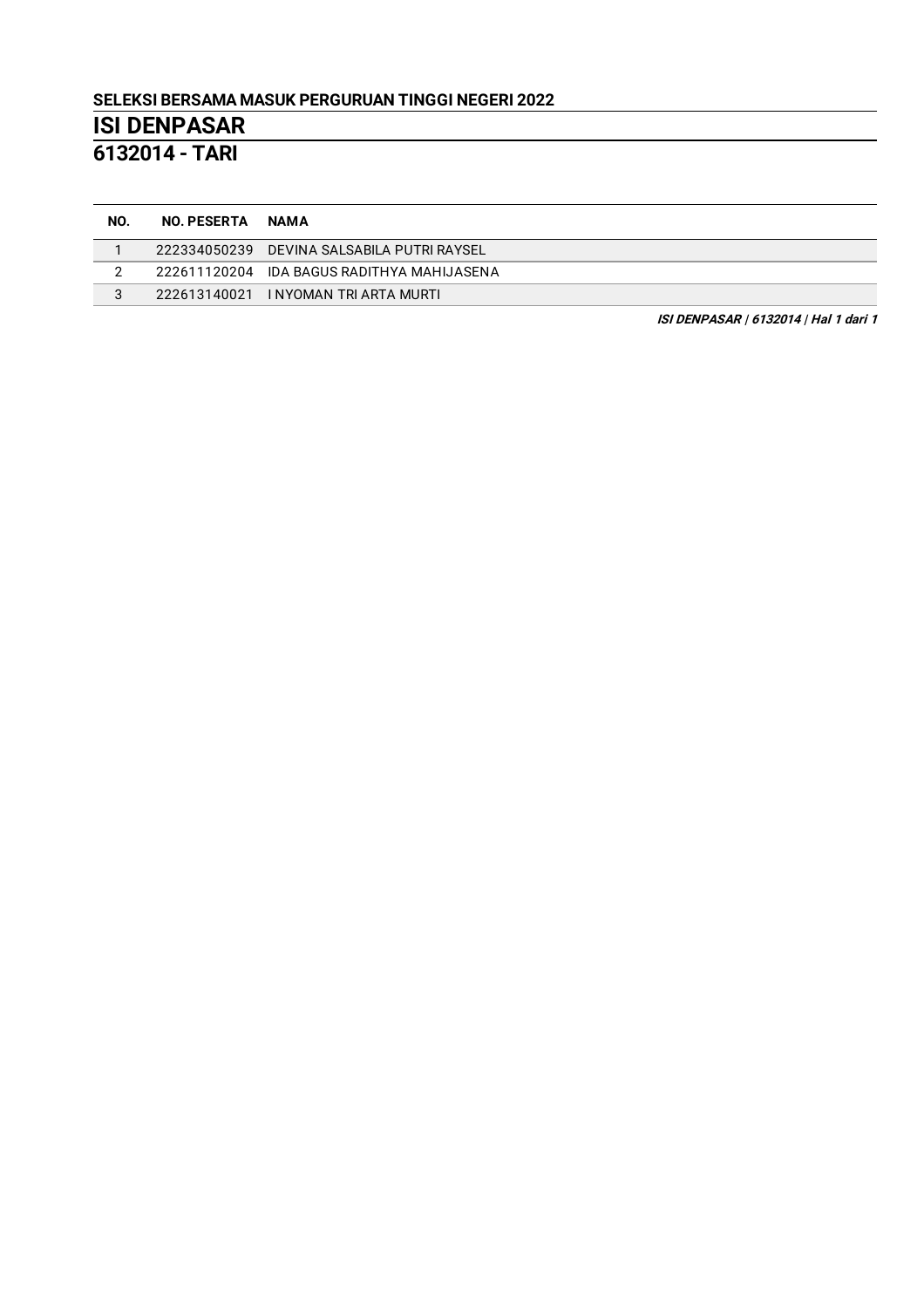**6132014 - TARI**

| NO. | <b>NO. PESERTA</b> | <b>NAMA</b>                                |
|-----|--------------------|--------------------------------------------|
|     |                    | 222334050239 DEVINA SALSABILA PUTRI RAYSEL |
|     |                    | 222611120204 IDA BAGUS RADITHYA MAHIJASENA |
|     |                    | 222613140021 INYOMAN TRI ARTA MURTI        |

**ISI DENPASAR | 6132014 | Hal 1 dari 1**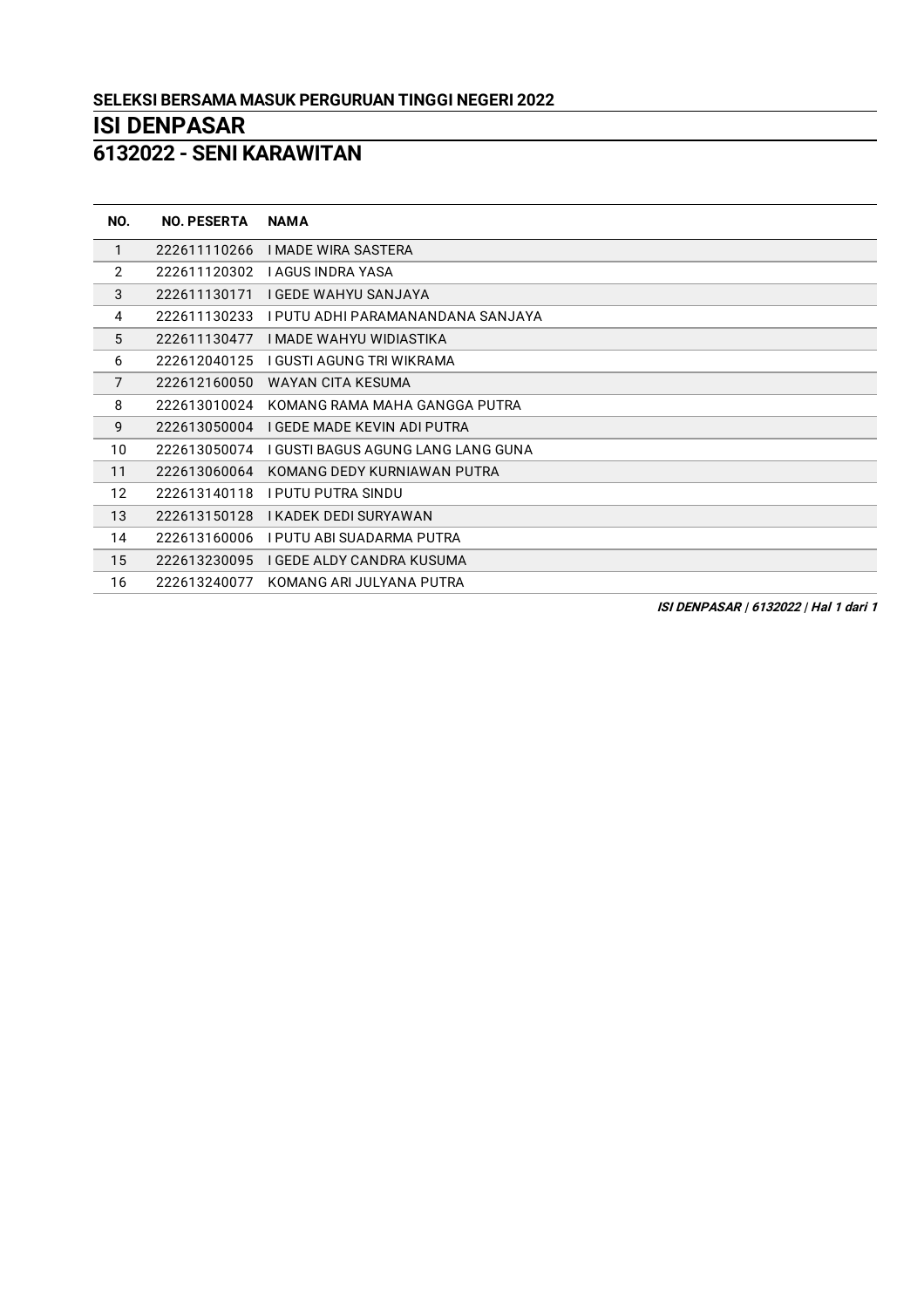**- SENI KARAWITAN**

| NO.            | <b>NO. PESERTA</b> | <b>NAMA</b>                        |
|----------------|--------------------|------------------------------------|
| $\mathbf{1}$   | 222611110266       | <b>I MADE WIRA SASTERA</b>         |
| 2              | 222611120302       | I AGUS INDRA YASA                  |
| 3              | 222611130171       | I GEDE WAHYU SANJAYA               |
| 4              | 222611130233       | I PUTU ADHI PARAMANANDANA SANJAYA  |
| 5              | 222611130477       | I MADE WAHYU WIDIASTIKA            |
| 6              | 222612040125       | I GUSTI AGUNG TRI WIKRAMA          |
| $\overline{7}$ | 222612160050       | WAYAN CITA KESUMA                  |
| 8              | 222613010024       | KOMANG RAMA MAHA GANGGA PUTRA      |
| 9              | 222613050004       | I GEDE MADE KEVIN ADI PUTRA        |
| 10             | 222613050074       | I GUSTI BAGUS AGUNG LANG LANG GUNA |
| 11             | 222613060064       | KOMANG DEDY KURNIAWAN PUTRA        |
| 12             | 222613140118       | I PUTU PUTRA SINDU                 |
| 13             | 222613150128       | I KADEK DEDI SURYAWAN              |
| 14             | 222613160006       | I PUTU ABI SUADARMA PUTRA          |
| 15             | 222613230095       | I GEDE ALDY CANDRA KUSUMA          |
| 16             | 222613240077       | KOMANG ARI JULYANA PUTRA           |

**ISI DENPASAR | 6132022 | Hal 1 dari 1**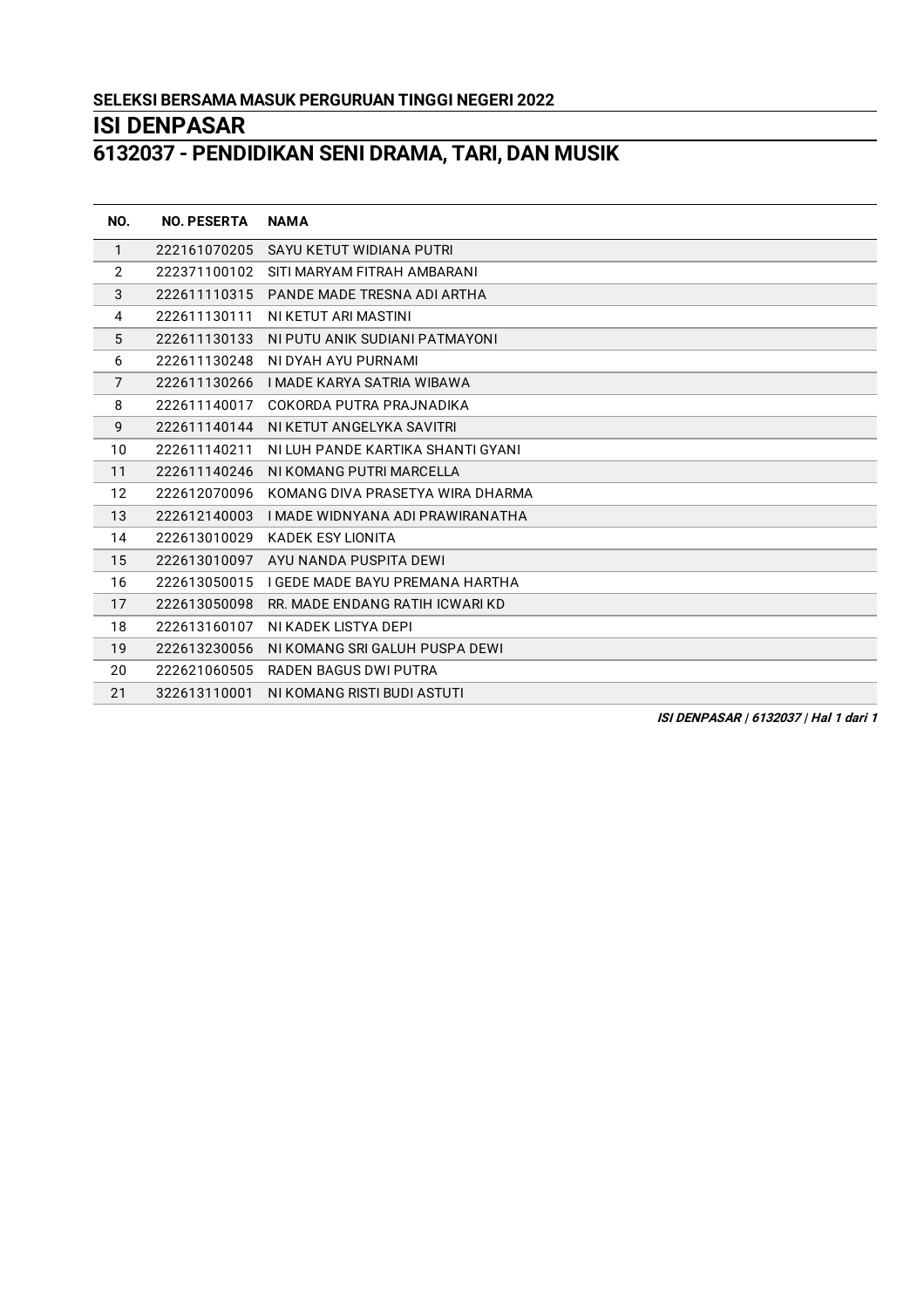# **- PENDIDIKAN SENI DRAMA, TARI, DAN MUSIK**

| NO.            | <b>NO. PESERTA</b> | <b>NAMA</b>                       |
|----------------|--------------------|-----------------------------------|
| $\mathbf{1}$   | 222161070205       | SAYU KETUT WIDIANA PUTRI          |
| $\overline{2}$ | 222371100102       | SITI MARYAM FITRAH AMBARANI       |
| 3              | 222611110315       | PANDE MADE TRESNA ADI ARTHA       |
| 4              | 222611130111       | NI KETUT ARI MASTINI              |
| 5              | 222611130133       | NI PUTU ANIK SUDIANI PATMAYONI    |
| 6              | 222611130248       | NI DYAH AYU PURNAMI               |
| $\overline{7}$ | 222611130266       | <b>I MADE KARYA SATRIA WIBAWA</b> |
| 8              | 222611140017       | COKORDA PUTRA PRAJNADIKA          |
| 9              | 222611140144       | NI KETUT ANGELYKA SAVITRI         |
| 10             | 222611140211       | NITUH PANDE KARTIKA SHANTI GYANI  |
| 11             | 222611140246       | NI KOMANG PUTRI MARCELLA          |
| 12             | 222612070096       | KOMANG DIVA PRASETYA WIRA DHARMA  |
| 13             | 222612140003       | I MADE WIDNYANA ADI PRAWIRANATHA  |
| 14             | 222613010029       | <b>KADEK ESY LIONITA</b>          |
| 15             | 222613010097       | AYU NANDA PUSPITA DEWI            |
| 16             | 222613050015       | I GEDE MADE BAYU PREMANA HARTHA   |
| 17             | 222613050098       | RR. MADE ENDANG RATIH ICWARI KD   |
| 18             | 222613160107       | NI KADEK LISTYA DEPI              |
| 19             | 222613230056       | NI KOMANG SRI GALUH PUSPA DEWI    |
| 20             | 222621060505       | <b>RADEN BAGUS DWI PUTRA</b>      |
| 21             | 322613110001       | NI KOMANG RISTI BUDI ASTUTI       |

**ISI DENPASAR | 6132037 | Hal 1 dari 1**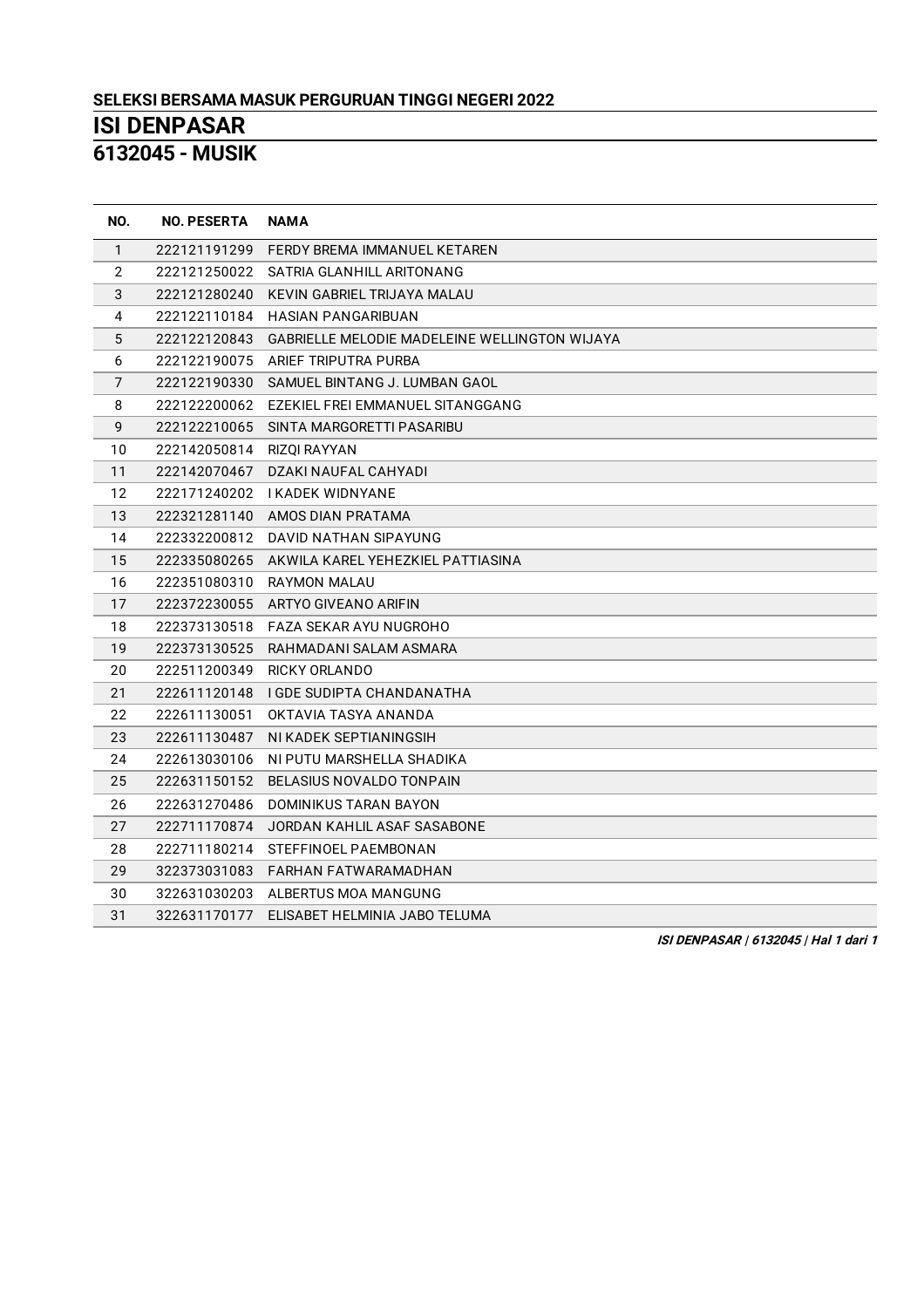**- MUSIK**

| NO.            | <b>NO. PESERTA</b> | <b>NAMA</b>                                          |
|----------------|--------------------|------------------------------------------------------|
| $\mathbf{1}$   | 222121191299       | FERDY BREMA IMMANUEL KETAREN                         |
| $\overline{2}$ | 222121250022       | SATRIA GLANHILL ARITONANG                            |
| 3              | 222121280240       | KEVIN GABRIEL TRIJAYA MALAU                          |
| 4              | 222122110184       | <b>HASIAN PANGARIBUAN</b>                            |
| 5              | 222122120843       | <b>GABRIELLE MELODIE MADELEINE WELLINGTON WIJAYA</b> |
| 6              | 222122190075       | ARIEF TRIPUTRA PURBA                                 |
| $\overline{7}$ | 222122190330       | SAMUEL BINTANG J. LUMBAN GAOL                        |
| 8              | 222122200062       | EZEKIEL FREI EMMANUEL SITANGGANG                     |
| 9              | 222122210065       | SINTA MARGORETTI PASARIBU                            |
| 10             | 222142050814       | RIZOI RAYYAN                                         |
| 11             | 222142070467       | DZAKI NAUFAL CAHYADI                                 |
| 12             |                    | 222171240202 IKADEK WIDNYANE                         |
| 13             |                    | 222321281140 AMOS DIAN PRATAMA                       |
| 14             | 222332200812       | DAVID NATHAN SIPAYUNG                                |
| 15             | 222335080265       | AKWILA KAREL YEHEZKIEL PATTIASINA                    |
| 16             | 222351080310       | <b>RAYMON MALAU</b>                                  |
| 17             |                    | 222372230055 ARTYO GIVEANO ARIFIN                    |
| 18             | 222373130518       | FAZA SEKAR AYU NUGROHO                               |
| 19             | 222373130525       | RAHMADANI SALAM ASMARA                               |
| 20             | 222511200349       | <b>RICKY ORLANDO</b>                                 |
| 21             | 222611120148       | I GDE SUDIPTA CHANDANATHA                            |
| 22             | 222611130051       | OKTAVIA TASYA ANANDA                                 |
| 23             | 222611130487       | NI KADEK SEPTIANINGSIH                               |
| 24             | 222613030106       | NI PUTU MARSHELLA SHADIKA                            |
| 25             | 222631150152       | BELASIUS NOVALDO TONPAIN                             |
| 26             | 222631270486       | DOMINIKUS TARAN BAYON                                |
| 27             | 222711170874       | JORDAN KAHLIL ASAF SASABONE                          |
| 28             | 222711180214       | STEFFINOEL PAEMBONAN                                 |
| 29             | 322373031083       | FARHAN FATWARAMADHAN                                 |
| 30             | 322631030203       | ALBERTUS MOA MANGUNG                                 |
| 31             | 322631170177       | ELISABET HELMINIA JABO TELUMA                        |

**ISI DENPASAR | 6132045 | Hal 1 dari 1**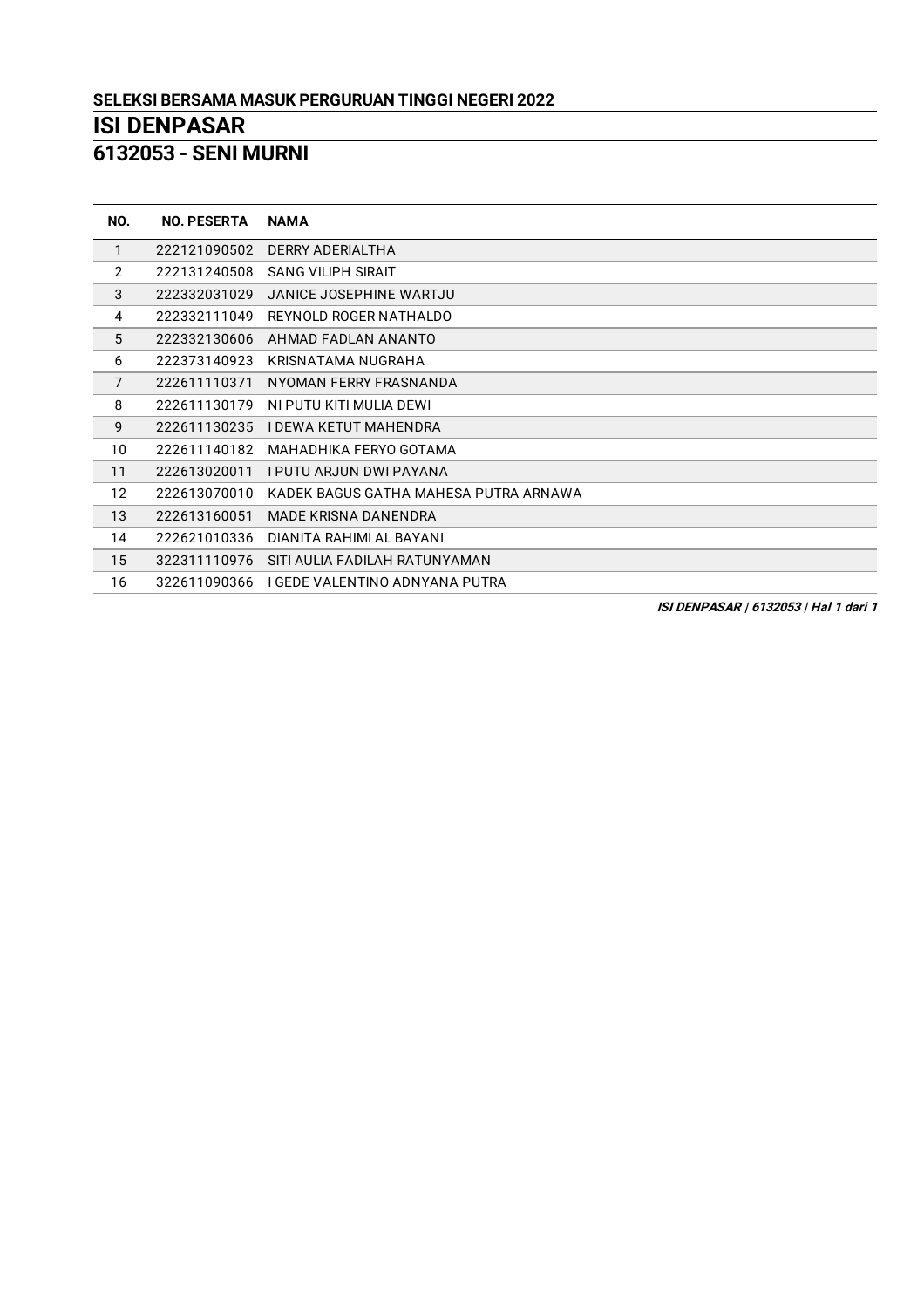**- SENI MURNI**

| NO.            | <b>NO. PESERTA</b> | <b>NAMA</b>                           |
|----------------|--------------------|---------------------------------------|
| 1              | 222121090502       | DERRY ADERIALTHA                      |
| $\overline{2}$ | 222131240508       | <b>SANG VILIPH SIRAIT</b>             |
| 3              | 222332031029       | <b>JANICE JOSEPHINE WARTJU</b>        |
| 4              | 222332111049       | REYNOLD ROGER NATHALDO                |
| 5              | 222332130606       | AHMAD FADLAN ANANTO                   |
| 6              | 222373140923       | KRISNATAMA NUGRAHA                    |
| $\overline{7}$ | 222611110371       | NYOMAN FERRY FRASNANDA                |
| 8              | 222611130179       | NI PUTU KITI MULIA DEWI               |
| 9              | 222611130235       | I DEWA KETUT MAHENDRA                 |
| 10             | 222611140182       | MAHADHIKA FERYO GOTAMA                |
| 11             | 222613020011       | I PUTU ARJUN DWI PAYANA               |
| 12             | 222613070010       | KADEK BAGUS GATHA MAHESA PUTRA ARNAWA |
| 13             | 222613160051       | MADE KRISNA DANENDRA                  |
| 14             | 222621010336       | DIANITA RAHIMI AL BAYANI              |
| 15             | 322311110976       | SITI AULIA FADILAH RATUNYAMAN         |
| 16             | 322611090366       | I GEDE VALENTINO ADNYANA PUTRA        |

**ISI DENPASAR | 6132053 | Hal 1 dari 1**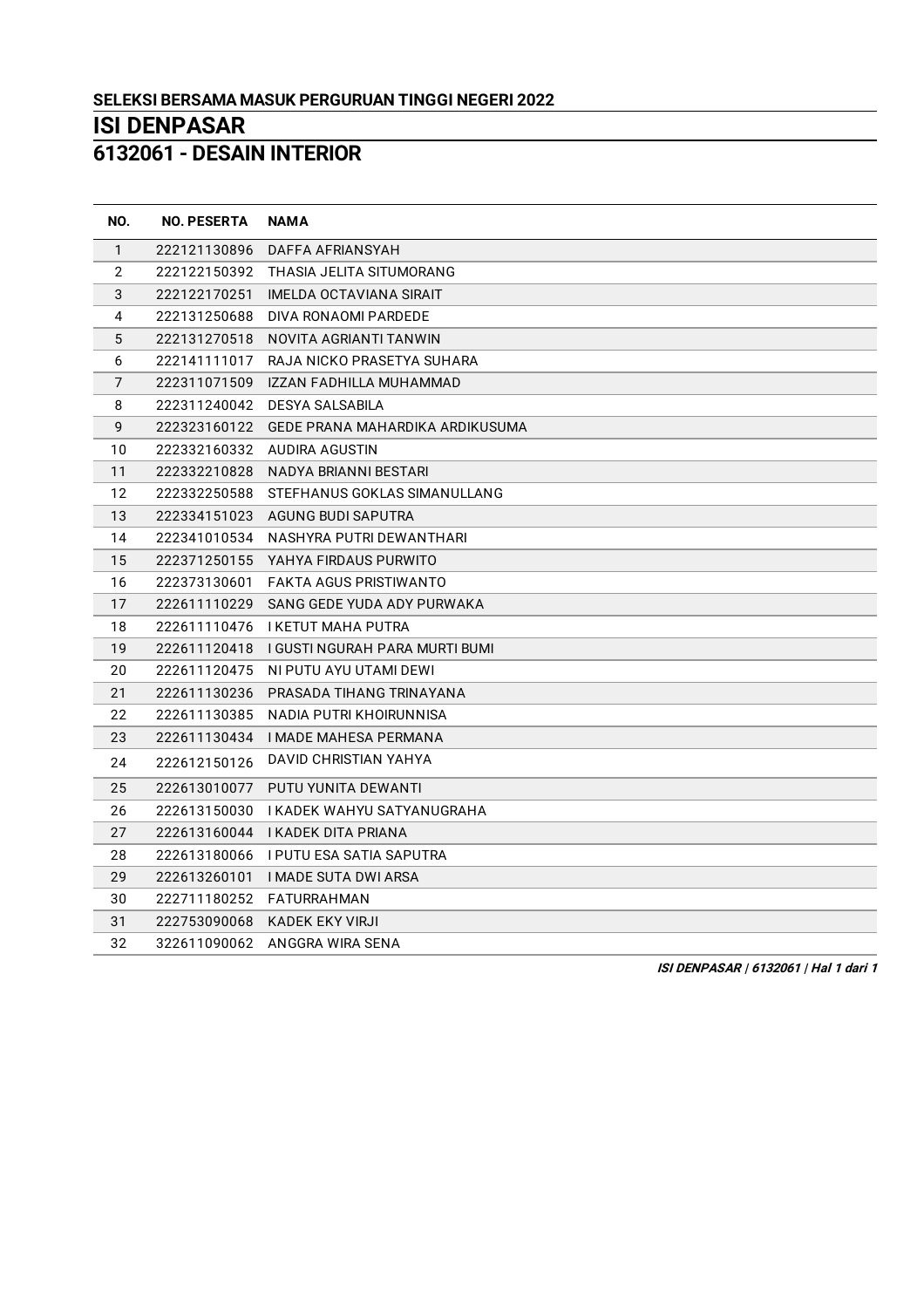**- DESAIN INTERIOR**

| NO.          | <b>NO. PESERTA</b> | <b>NAMA</b>                              |
|--------------|--------------------|------------------------------------------|
| $\mathbf{1}$ | 222121130896       | DAFFA AFRIANSYAH                         |
| $\mathbf{2}$ | 222122150392       | THASIA JELITA SITUMORANG                 |
| $\sqrt{3}$   | 222122170251       | IMELDA OCTAVIANA SIRAIT                  |
| 4            | 222131250688       | DIVA RONAOMI PARDEDE                     |
| 5            | 222131270518       | NOVITA AGRIANTI TANWIN                   |
| 6            | 222141111017       | RAJA NICKO PRASETYA SUHARA               |
| 7            | 222311071509       | IZZAN FADHILLA MUHAMMAD                  |
| 8            | 222311240042       | <b>DESYA SALSABILA</b>                   |
| 9            | 222323160122       | GEDE PRANA MAHARDIKA ARDIKUSUMA          |
| 10           |                    | 222332160332 AUDIRA AGUSTIN              |
| 11           | 222332210828       | NADYA BRIANNI BESTARI                    |
| 12           | 222332250588       | STEFHANUS GOKLAS SIMANULLANG             |
| 13           | 222334151023       | AGUNG BUDI SAPUTRA                       |
| 14           | 222341010534       | NASHYRA PUTRI DEWANTHARI                 |
| 15           | 222371250155       | YAHYA FIRDAUS PURWITO                    |
| 16           | 222373130601       | FAKTA AGUS PRISTIWANTO                   |
| 17           | 222611110229       | SANG GEDE YUDA ADY PURWAKA               |
| 18           |                    | 222611110476 IKETUT MAHA PUTRA           |
| 19           | 222611120418       | I GUSTI NGURAH PARA MURTI BUMI           |
| 20           | 222611120475       | NI PUTU AYU UTAMI DEWI                   |
| 21           | 222611130236       | PRASADA TIHANG TRINAYANA                 |
| 22           | 222611130385       | NADIA PUTRI KHOIRUNNISA                  |
| 23           |                    | 222611130434 IMADE MAHESA PERMANA        |
| 24           | 222612150126       | <b>DAVID CHRISTIAN YAHYA</b>             |
| 25           | 222613010077       | PUTU YUNITA DEWANTI                      |
| 26           | 222613150030       | I KADEK WAHYU SATYANUGRAHA               |
| 27           | 222613160044       | <b>I KADEK DITA PRIANA</b>               |
| 28           |                    | 222613180066    I PUTU ESA SATIA SAPUTRA |
| 29           | 222613260101       | <b>I MADE SUTA DWI ARSA</b>              |
| 30           | 222711180252       | FATURRAHMAN                              |
| 31           | 222753090068       | KADEK EKY VIRJI                          |
| 32           |                    | 322611090062 ANGGRA WIRA SENA            |

**ISI DENPASAR | 6132061 | Hal 1 dari 1**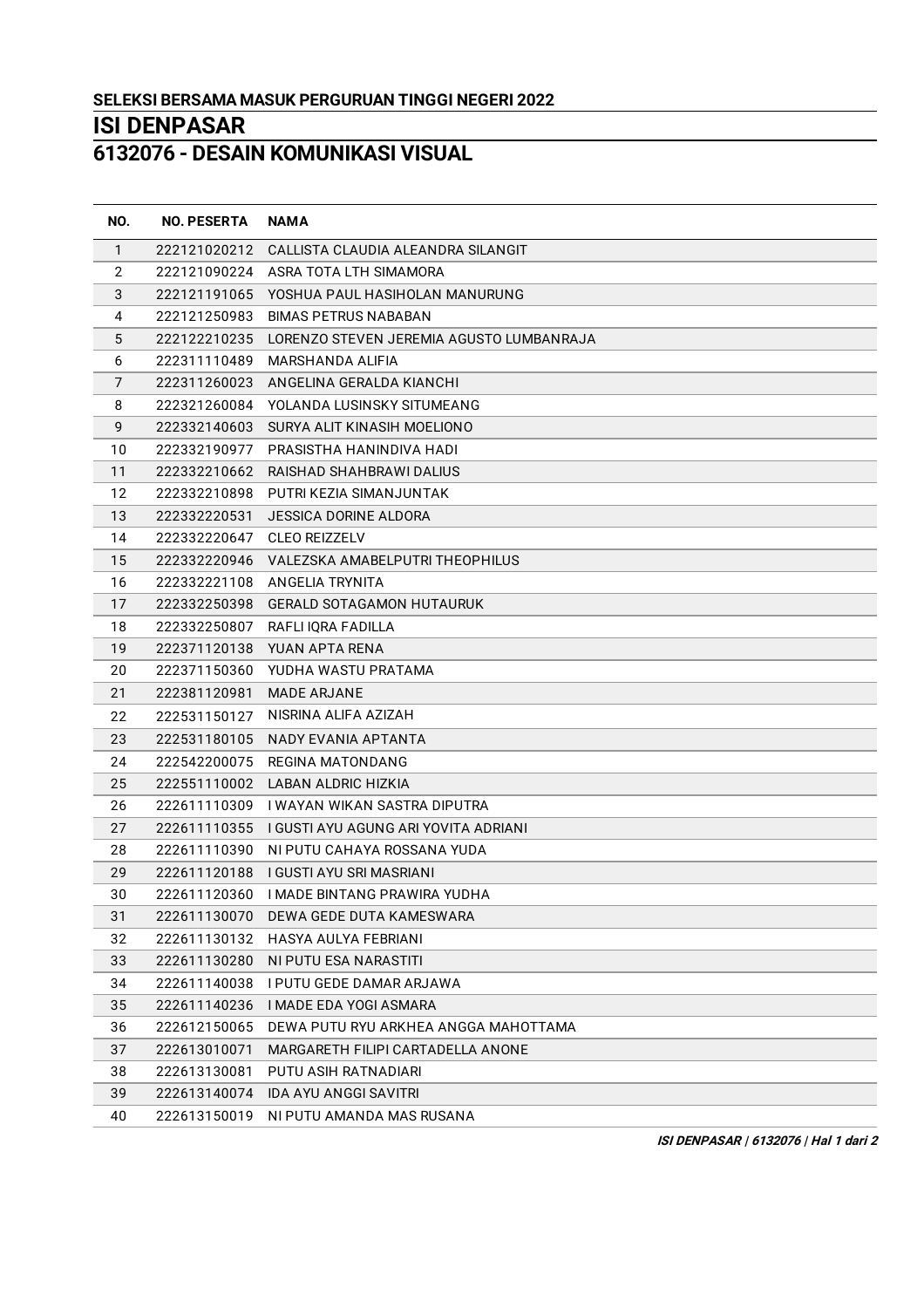**- DESAIN KOMUNIKASI VISUAL**

| NO.            | <b>NO. PESERTA</b> | <b>NAMA</b>                                           |
|----------------|--------------------|-------------------------------------------------------|
| $\mathbf{1}$   | 222121020212       | CALLISTA CLAUDIA ALEANDRA SILANGIT                    |
| $\overline{2}$ | 222121090224       | ASRA TOTA LTH SIMAMORA                                |
| 3              | 222121191065       | YOSHUA PAUL HASIHOLAN MANURUNG                        |
| 4              | 222121250983       | <b>BIMAS PETRUS NABABAN</b>                           |
| 5              |                    | 222122210235 LORENZO STEVEN JEREMIA AGUSTO LUMBANRAJA |
| 6              | 222311110489       | MARSHANDA ALIFIA                                      |
| 7              | 222311260023       | ANGELINA GERALDA KIANCHI                              |
| 8              |                    | 222321260084 YOLANDA LUSINSKY SITUMEANG               |
| 9              | 222332140603       | SURYA ALIT KINASIH MOELIONO                           |
| 10             |                    | 222332190977 PRASISTHA HANINDIVA HADI                 |
| 11             | 222332210662       | RAISHAD SHAHBRAWI DALIUS                              |
| 12             | 222332210898       | PUTRI KEZIA SIMANJUNTAK                               |
| 13             | 222332220531       | JESSICA DORINE ALDORA                                 |
| 14             | 222332220647       | <b>CLEO REIZZELV</b>                                  |
| 15             |                    | 222332220946 VALEZSKA AMABELPUTRI THEOPHILUS          |
| 16             |                    | 222332221108 ANGELIA TRYNITA                          |
| 17             | 222332250398       | <b>GERALD SOTAGAMON HUTAURUK</b>                      |
| 18             | 222332250807       | RAFLI IQRA FADILLA                                    |
| 19             |                    | 222371120138 YUAN APTA RENA                           |
| 20             | 222371150360       | YUDHA WASTU PRATAMA                                   |
| 21             | 222381120981       | <b>MADE ARJANE</b>                                    |
| 22             | 222531150127       | NISRINA ALIFA AZIZAH                                  |
| 23             |                    | 222531180105 NADY EVANIA APTANTA                      |
| 24             | 222542200075       | REGINA MATONDANG                                      |
| 25             |                    | 222551110002 LABAN ALDRIC HIZKIA                      |
| 26             |                    | 222611110309   WAYAN WIKAN SASTRA DIPUTRA             |
| 27             | 222611110355       | I GUSTI AYU AGUNG ARI YOVITA ADRIANI                  |
| 28             | 222611110390       | NI PUTU CAHAYA ROSSANA YUDA                           |
| 29             |                    | 222611120188 I GUSTI AYU SRI MASRIANI                 |
| 30             |                    | 222611120360 IMADE BINTANG PRAWIRA YUDHA              |
| 31             | 222611130070       | DEWA GEDE DUTA KAMESWARA                              |
| 32             | 222611130132       | HASYA AULYA FEBRIANI                                  |
| 33             | 222611130280       | NI PUTU ESA NARASTITI                                 |
| 34             | 222611140038       | I PUTU GEDE DAMAR ARJAWA                              |
| 35             | 222611140236       | I MADE EDA YOGI ASMARA                                |
| 36             | 222612150065       | DEWA PUTU RYU ARKHEA ANGGA MAHOTTAMA                  |
| 37             | 222613010071       | MARGARETH FILIPI CARTADELLA ANONE                     |
| 38             | 222613130081       | PUTU ASIH RATNADIARI                                  |
| 39             | 222613140074       | IDA AYU ANGGI SAVITRI                                 |
| 40             | 222613150019       | NI PUTU AMANDA MAS RUSANA                             |

**ISI DENPASAR | 6132076 | Hal 1 dari 2**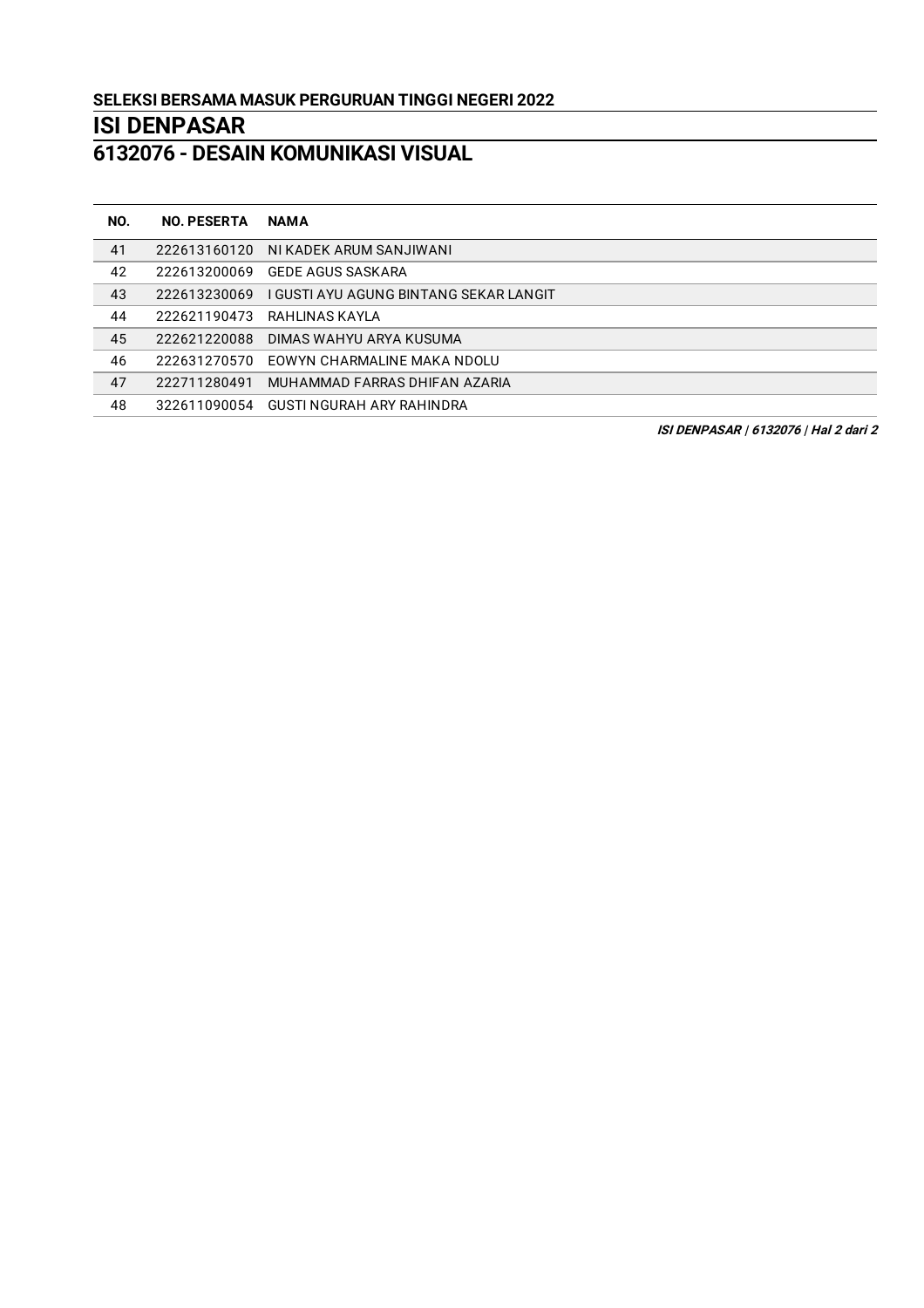## **- DESAIN KOMUNIKASI VISUAL**

| NO. | <b>NO. PESERTA</b> | <b>NAMA</b>                            |
|-----|--------------------|----------------------------------------|
| 41  | 222613160120       | NI KADEK ARUM SANJIWANI                |
| 42  | 222613200069       | GEDE AGUS SASKARA                      |
| 43  | 222613230069       | I GUSTI AYU AGUNG BINTANG SEKAR LANGIT |
| 44  | 222621190473       | RAHLINAS KAYLA                         |
| 45  | 222621220088       | DIMAS WAHYU ARYA KUSUMA                |
| 46  | 222631270570       | EOWYN CHARMALINE MAKA NDOLU            |
| 47  | 222711280491       | MUHAMMAD FARRAS DHIFAN AZARIA          |
| 48  | 322611090054       | GUSTI NGURAH ARY RAHINDRA              |
|     |                    |                                        |

**ISI DENPASAR | 6132076 | Hal 2 dari 2**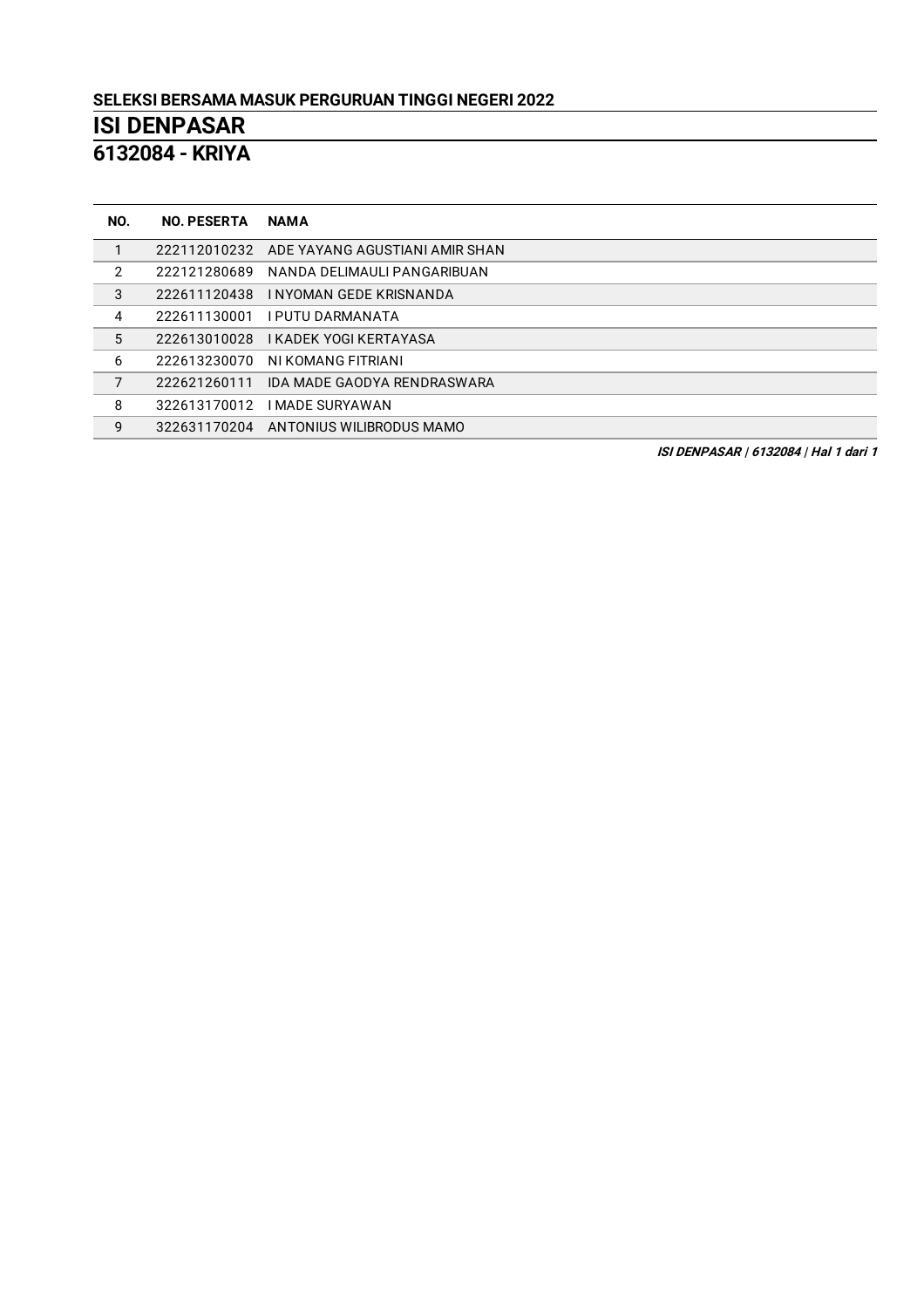**- KRIYA**

| NO. | <b>NO. PESERTA</b> | <b>NAMA</b>                                 |
|-----|--------------------|---------------------------------------------|
|     |                    | 222112010232 ADE YAYANG AGUSTIANI AMIR SHAN |
| 2   | 222121280689       | NANDA DELIMAULI PANGARIBUAN                 |
| 3   | 222611120438       | I NYOMAN GEDE KRISNANDA                     |
| 4   |                    | 222611130001 IPUTU DARMANATA                |
| 5   |                    | 222613010028 KADEK YOGI KERTAYASA           |
| 6   | 222613230070       | NI KOMANG FITRIANI                          |
| 7   | 222621260111       | IDA MADE GAODYA RENDRASWARA                 |
| 8   | 322613170012       | <b>I MADE SURYAWAN</b>                      |
| 9   |                    | 322631170204 ANTONIUS WILIBRODUS MAMO       |

**ISI DENPASAR | 6132084 | Hal 1 dari 1**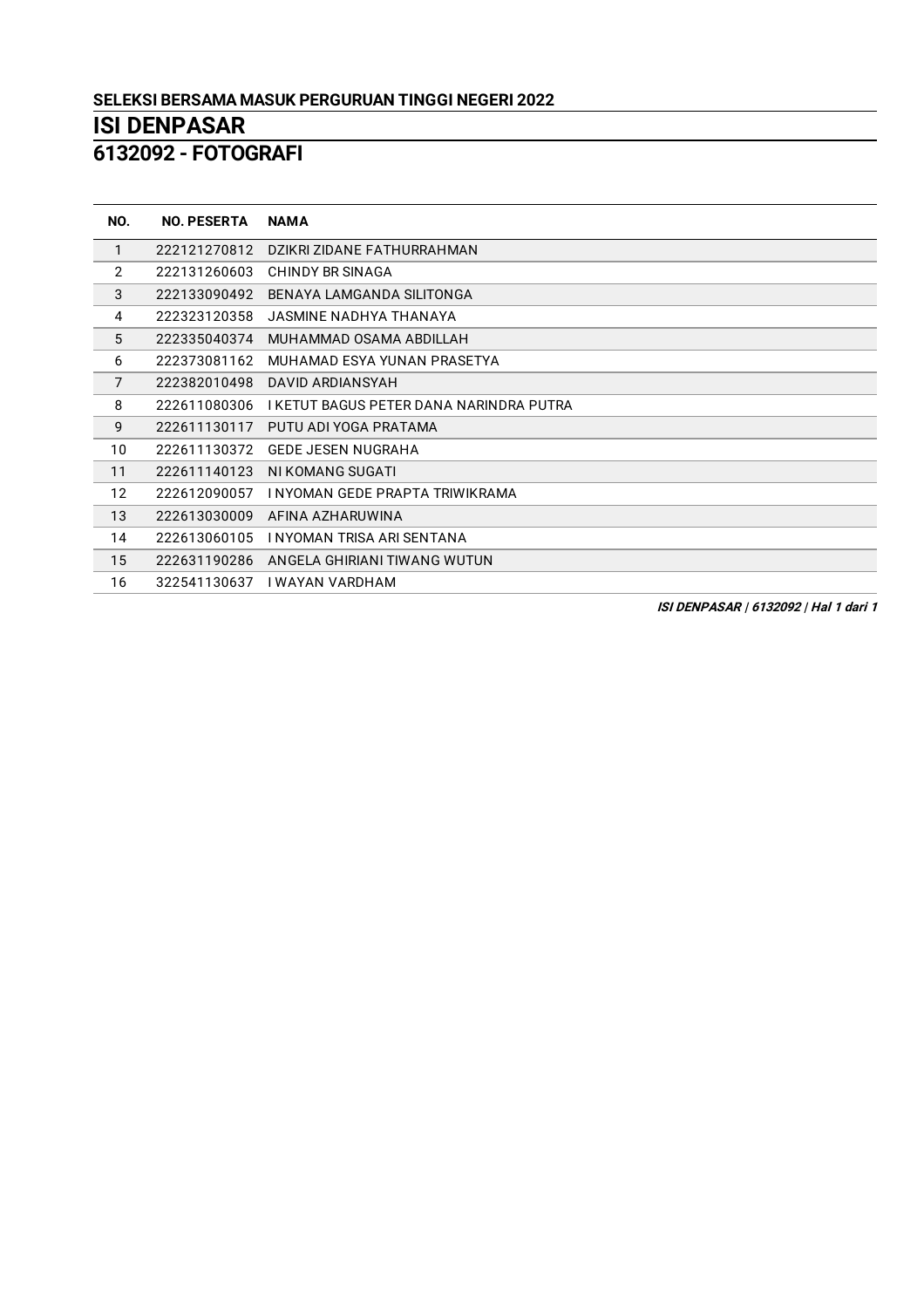**- FOTOGRAFI**

| NO.            | <b>NO. PESERTA</b> | <b>NAMA</b>                             |
|----------------|--------------------|-----------------------------------------|
| 1              | 222121270812       | DZIKRI ZIDANE FATHURRAHMAN              |
| 2              | 222131260603       | <b>CHINDY BR SINAGA</b>                 |
| 3              | 222133090492       | BENAYA LAMGANDA SILITONGA               |
| 4              | 222323120358       | JASMINE NADHYA THANAYA                  |
| 5              | 222335040374       | MUHAMMAD OSAMA ABDILLAH                 |
| 6              | 222373081162       | MUHAMAD ESYA YUNAN PRASETYA             |
| $\overline{7}$ | 222382010498       | DAVID ARDIANSYAH                        |
| 8              | 222611080306       | I KETUT BAGUS PETER DANA NARINDRA PUTRA |
| 9              | 222611130117       | PUTU ADI YOGA PRATAMA                   |
| 10             | 222611130372       | <b>GEDE JESEN NUGRAHA</b>               |
| 11             | 222611140123       | NI KOMANG SUGATI                        |
| 12             | 222612090057       | I NYOMAN GEDE PRAPTA TRIWIKRAMA         |
| 13             | 222613030009       | AFINA AZHARUWINA                        |
| 14             | 222613060105       | I NYOMAN TRISA ARI SENTANA              |
| 15             | 222631190286       | ANGELA GHIRIANI TIWANG WUTUN            |
| 16             | 322541130637       | I WAYAN VARDHAM                         |

**ISI DENPASAR | 6132092 | Hal 1 dari 1**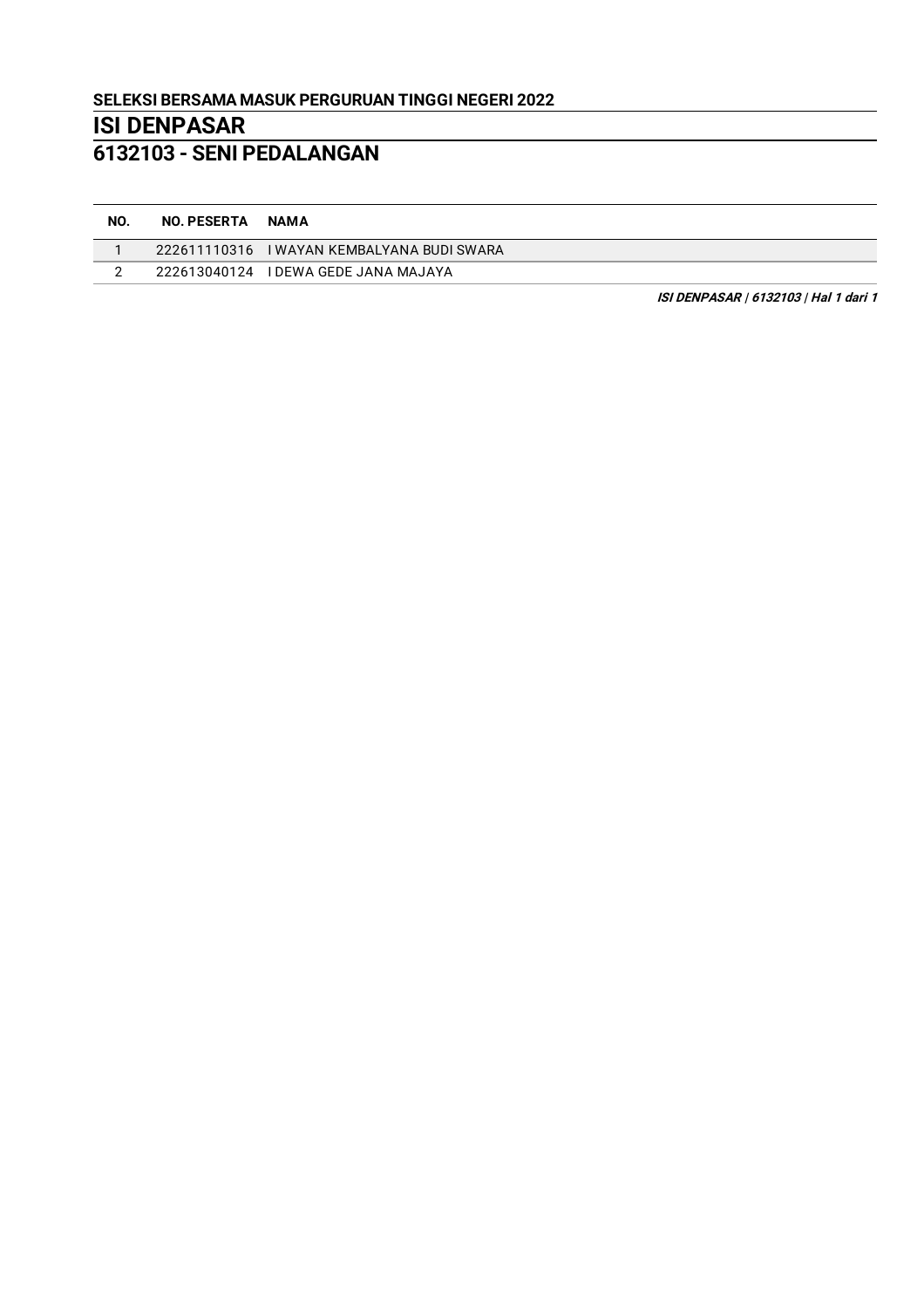#### **SELEKSI BERSAMA MASUK PERGURUAN TINGGI NEGERI 2022**

# **ISI DENPASAR**

## **6132103 - SENI PEDALANGAN**

| NO. | <b>NO. PESERTA</b> | <b>NAMA</b>                                |
|-----|--------------------|--------------------------------------------|
|     |                    | 222611110316 I WAYAN KEMBALYANA BUDI SWARA |
|     | 222613040124       | I DEWA GEDE JANA MAJAYA                    |

**ISI DENPASAR | 6132103 | Hal 1 dari 1**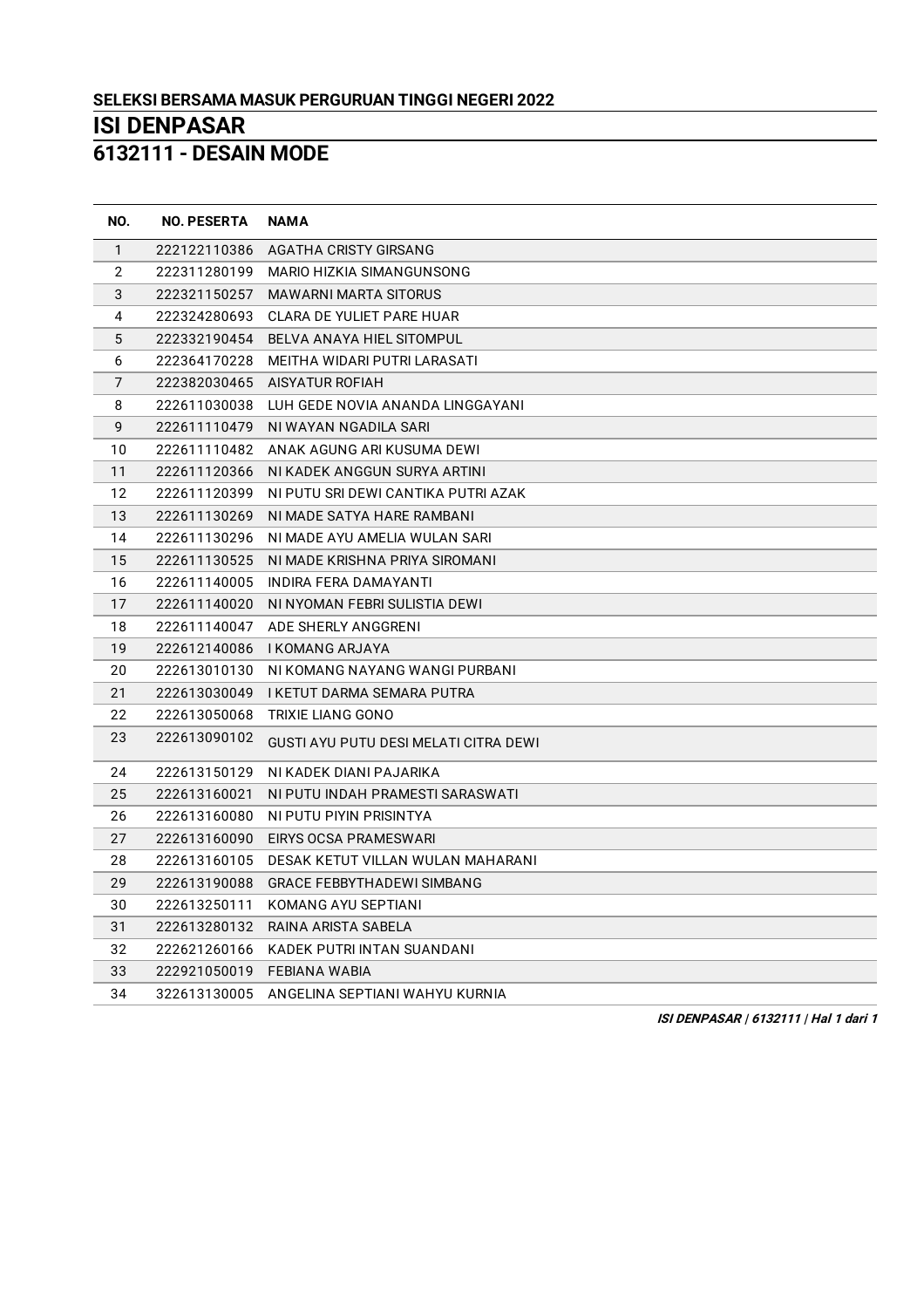**- DESAIN MODE**

| NO.            | <b>NO. PESERTA</b> | <b>NAMA</b>                                    |
|----------------|--------------------|------------------------------------------------|
| $\mathbf{1}$   | 222122110386       | AGATHA CRISTY GIRSANG                          |
| $\overline{2}$ | 222311280199       | MARIO HIZKIA SIMANGUNSONG                      |
| 3              | 222321150257       | <b>MAWARNI MARTA SITORUS</b>                   |
| 4              | 222324280693       | CLARA DE YULIET PARE HUAR                      |
| 5              |                    | 222332190454 BELVA ANAYA HIEL SITOMPUL         |
| 6              |                    | 222364170228 MEITHA WIDARI PUTRI LARASATI      |
| $\overline{7}$ |                    | 222382030465 AISYATUR ROFIAH                   |
| 8              | 222611030038       | LUH GEDE NOVIA ANANDA LINGGAYANI               |
| 9              | 222611110479       | NI WAYAN NGADILA SARI                          |
| 10             | 222611110482       | ANAK AGUNG ARI KUSUMA DEWI                     |
| 11             | 222611120366       | NI KADEK ANGGUN SURYA ARTINI                   |
| 12             | 222611120399       | NI PUTU SRI DEWI CANTIKA PUTRI AZAK            |
| 13             | 222611130269       | NI MADE SATYA HARE RAMBANI                     |
| 14             | 222611130296       | NI MADE AYU AMELIA WULAN SARI                  |
| 15             | 222611130525       | NI MADE KRISHNA PRIYA SIROMANI                 |
| 16             | 222611140005       | INDIRA FERA DAMAYANTI                          |
| 17             |                    | 222611140020 NI NYOMAN FEBRI SULISTIA DEWI     |
| 18             |                    | 222611140047 ADE SHERLY ANGGRENI               |
| 19             |                    |                                                |
| 20             | 222613010130       | NI KOMANG NAYANG WANGI PURBANI                 |
| 21             |                    | 222613030049   KETUT DARMA SEMARA PUTRA        |
| 22             | 222613050068       | TRIXIE LIANG GONO                              |
| 23             | 222613090102       | <b>GUSTI AYU PUTU DESI MELATI CITRA DEWI</b>   |
| 24             | 222613150129       | NI KADEK DIANI PAJARIKA                        |
| 25             | 222613160021       | NI PUTU INDAH PRAMESTI SARASWATI               |
| 26             | 222613160080       | NI PUTU PIYIN PRISINTYA                        |
| 27             | 222613160090       | EIRYS OCSA PRAMESWARI                          |
| 28             |                    | 222613160105 DESAK KETUT VILLAN WULAN MAHARANI |
| 29             | 222613190088       | <b>GRACE FEBBYTHADEWI SIMBANG</b>              |
| 30             | 222613250111       | KOMANG AYU SEPTIANI                            |
| 31             |                    | 222613280132 RAINA ARISTA SABELA               |
| 32             | 222621260166       | KADEK PUTRI INTAN SUANDANI                     |
| 33             | 222921050019       | FEBIANA WABIA                                  |
| 34             | 322613130005       | ANGELINA SEPTIANI WAHYU KURNIA                 |

**ISI DENPASAR | 6132111 | Hal 1 dari 1**